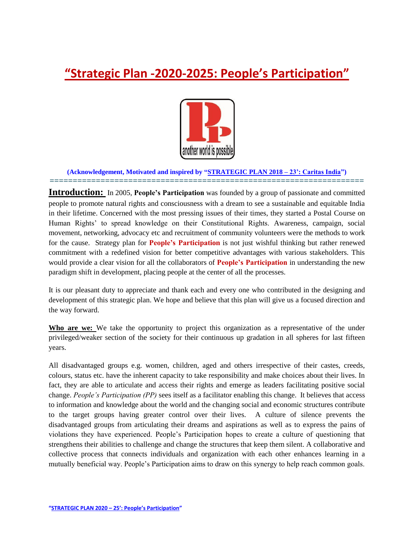# **"Strategic Plan -2020-2025: People's Participation"**



#### **(Acknowledgement, Motivated and inspired by "STRATEGIC PLAN 2018 – 23": Caritas India") ====================================================================**

**Introduction:** In 2005, People's Participation was founded by a group of passionate and committed people to promote natural rights and consciousness with a dream to see a sustainable and equitable India in their lifetime. Concerned with the most pressing issues of their times, they started a Postal Course on Human Rights' to spread knowledge on their Constitutional Rights. Awareness, campaign, social movement, networking, advocacy etc and recruitment of community volunteers were the methods to work for the cause. Strategy plan for **People"s Participation** is not just wishful thinking but rather renewed commitment with a redefined vision for better competitive advantages with various stakeholders. This would provide a clear vision for all the collaborators of **People"s Participation** in understanding the new paradigm shift in development, placing people at the center of all the processes.

It is our pleasant duty to appreciate and thank each and every one who contributed in the designing and development of this strategic plan. We hope and believe that this plan will give us a focused direction and the way forward.

**Who are we:** We take the opportunity to project this organization as a representative of the under privileged/weaker section of the society for their continuous up gradation in all spheres for last fifteen years.

All disadvantaged groups e.g. women, children, aged and others irrespective of their castes, creeds, colours, status etc. have the inherent capacity to take responsibility and make choices about their lives. In fact, they are able to articulate and access their rights and emerge as leaders facilitating positive social change. *People's Participation (PP)* sees itself as a facilitator enabling this change. It believes that access to information and knowledge about the world and the changing social and economic structures contribute to the target groups having greater control over their lives. A culture of silence prevents the disadvantaged groups from articulating their dreams and aspirations as well as to express the pains of violations they have experienced. People's Participation hopes to create a culture of questioning that strengthens their abilities to challenge and change the structures that keep them silent. A collaborative and collective process that connects individuals and organization with each other enhances learning in a mutually beneficial way. People's Participation aims to draw on this synergy to help reach common goals.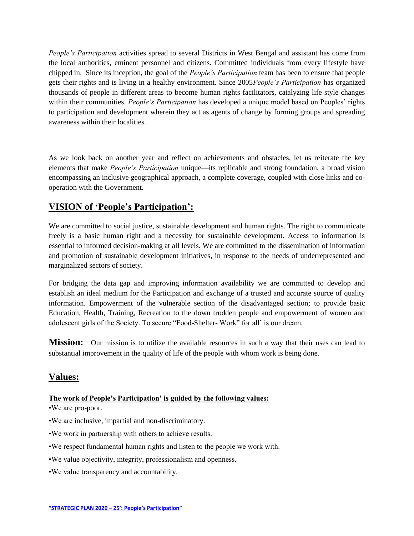*People's Participation* activities spread to several Districts in West Bengal and assistant has come from the local authorities, eminent personnel and citizens. Committed individuals from every lifestyle have chipped in. Since its inception, the goal of the *People's Participation* team has been to ensure that people gets their rights and is living in a healthy environment. Since 2005*People's Participation* has organized thousands of people in different areas to become human rights facilitators, catalyzing life style changes within their communities. *People's Participation* has developed a unique model based on Peoples' rights to participation and development wherein they act as agents of change by forming groups and spreading awareness within their localities.

As we look back on another year and reflect on achievements and obstacles, let us reiterate the key elements that make *People's Participation* unique—its replicable and strong foundation, a broad vision encompassing an inclusive geographical approach, a complete coverage, coupled with close links and cooperation with the Government.

## **VISION of "People"s Participation":**

We are committed to social justice, sustainable development and human rights. The right to communicate freely is a basic human right and a necessity for sustainable development. Access to information is essential to informed decision-making at all levels. We are committed to the dissemination of information and promotion of sustainable development initiatives, in response to the needs of underrepresented and marginalized sectors of society.

For bridging the data gap and improving information availability we are committed to develop and establish an ideal medium for the Participation and exchange of a trusted and accurate source of quality information. Empowerment of the vulnerable section of the disadvantaged section; to provide basic Education, Health, Training, Recreation to the down trodden people and empowerment of women and adolescent girls of the Society. To secure "Food-Shelter-Work" for all' is our dream.

**Mission:** Our mission is to utilize the available resources in such a way that their uses can lead to substantial improvement in the quality of life of the people with whom work is being done.

## **Values:**

#### **The work of People"s Participation" is guided by the following values:**

•We are pro-poor.

- •We are inclusive, impartial and non-discriminatory.
- •We work in partnership with others to achieve results.
- •We respect fundamental human rights and listen to the people we work with.
- •We value objectivity, integrity, professionalism and openness.
- •We value transparency and accountability.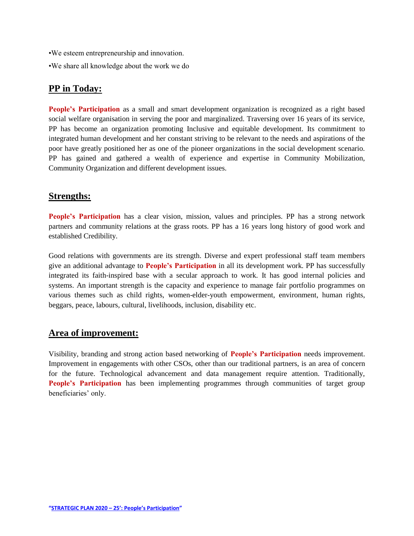- •We esteem entrepreneurship and innovation.
- •We share all knowledge about the work we do

#### **PP in Today:**

**People's Participation** as a small and smart development organization is recognized as a right based social welfare organisation in serving the poor and marginalized. Traversing over 16 years of its service, PP has become an organization promoting Inclusive and equitable development. Its commitment to integrated human development and her constant striving to be relevant to the needs and aspirations of the poor have greatly positioned her as one of the pioneer organizations in the social development scenario. PP has gained and gathered a wealth of experience and expertise in Community Mobilization, Community Organization and different development issues.

#### **Strengths:**

**People's Participation** has a clear vision, mission, values and principles. PP has a strong network partners and community relations at the grass roots. PP has a 16 years long history of good work and established Credibility.

Good relations with governments are its strength. Diverse and expert professional staff team members give an additional advantage to **People"s Participation** in all its development work. PP has successfully integrated its faith-inspired base with a secular approach to work. It has good internal policies and systems. An important strength is the capacity and experience to manage fair portfolio programmes on various themes such as child rights, women-elder-youth empowerment, environment, human rights, beggars, peace, labours, cultural, livelihoods, inclusion, disability etc.

#### **Area of improvement:**

Visibility, branding and strong action based networking of **People"s Participation** needs improvement. Improvement in engagements with other CSOs, other than our traditional partners, is an area of concern for the future. Technological advancement and data management require attention. Traditionally, People's Participation has been implementing programmes through communities of target group beneficiaries' only.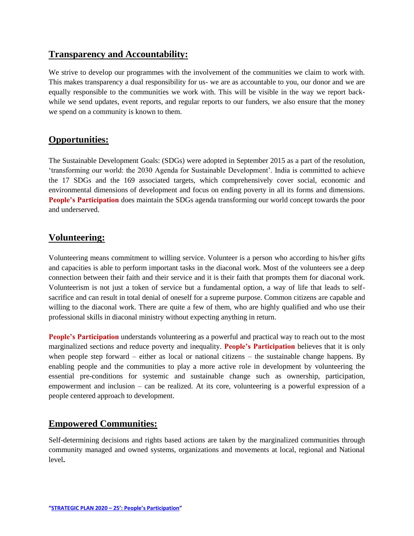#### **Transparency and Accountability:**

We strive to develop our programmes with the involvement of the communities we claim to work with. This makes transparency a dual responsibility for us- we are as accountable to you, our donor and we are equally responsible to the communities we work with. This will be visible in the way we report backwhile we send updates, event reports, and regular reports to our funders, we also ensure that the money we spend on a community is known to them.

### **Opportunities:**

The Sustainable Development Goals: (SDGs) were adopted in September 2015 as a part of the resolution, ‗transforming our world: the 2030 Agenda for Sustainable Development'. India is committed to achieve the 17 SDGs and the 169 associated targets, which comprehensively cover social, economic and environmental dimensions of development and focus on ending poverty in all its forms and dimensions. **People's Participation** does maintain the SDGs agenda transforming our world concept towards the poor and underserved.

## **Volunteering:**

Volunteering means commitment to willing service. Volunteer is a person who according to his/her gifts and capacities is able to perform important tasks in the diaconal work. Most of the volunteers see a deep connection between their faith and their service and it is their faith that prompts them for diaconal work. Volunteerism is not just a token of service but a fundamental option, a way of life that leads to selfsacrifice and can result in total denial of oneself for a supreme purpose. Common citizens are capable and willing to the diaconal work. There are quite a few of them, who are highly qualified and who use their professional skills in diaconal ministry without expecting anything in return.

**People's Participation** understands volunteering as a powerful and practical way to reach out to the most marginalized sections and reduce poverty and inequality. **People"s Participation** believes that it is only when people step forward – either as local or national citizens – the sustainable change happens. By enabling people and the communities to play a more active role in development by volunteering the essential pre-conditions for systemic and sustainable change such as ownership, participation, empowerment and inclusion – can be realized. At its core, volunteering is a powerful expression of a people centered approach to development.

### **Empowered Communities:**

Self-determining decisions and rights based actions are taken by the marginalized communities through community managed and owned systems, organizations and movements at local, regional and National level**.**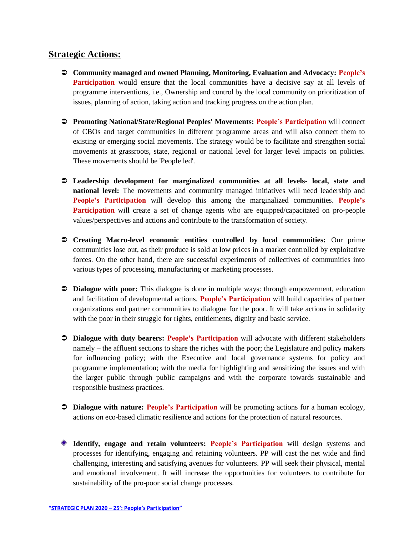#### **Strategic Actions:**

- **Community managed and owned Planning, Monitoring, Evaluation and Advocacy: People"s Participation** would ensure that the local communities have a decisive say at all levels of programme interventions, i.e., Ownership and control by the local community on prioritization of issues, planning of action, taking action and tracking progress on the action plan.
- **Promoting National/State/Regional Peoples' Movements: People"s Participation** will connect of CBOs and target communities in different programme areas and will also connect them to existing or emerging social movements. The strategy would be to facilitate and strengthen social movements at grassroots, state, regional or national level for larger level impacts on policies. These movements should be 'People led'.
- **Leadership development for marginalized communities at all levels- local, state and national level:** The movements and community managed initiatives will need leadership and **People"s Participation** will develop this among the marginalized communities. **People"s Participation** will create a set of change agents who are equipped/capacitated on pro-people values/perspectives and actions and contribute to the transformation of society.
- **Creating Macro-level economic entities controlled by local communities:** Our prime communities lose out, as their produce is sold at low prices in a market controlled by exploitative forces. On the other hand, there are successful experiments of collectives of communities into various types of processing, manufacturing or marketing processes.
- **Dialogue with poor:** This dialogue is done in multiple ways: through empowerment, education and facilitation of developmental actions. **People"s Participation** will build capacities of partner organizations and partner communities to dialogue for the poor. It will take actions in solidarity with the poor in their struggle for rights, entitlements, dignity and basic service.
- **Dialogue with duty bearers: People's Participation** will advocate with different stakeholders namely – the affluent sections to share the riches with the poor; the Legislature and policy makers for influencing policy; with the Executive and local governance systems for policy and programme implementation; with the media for highlighting and sensitizing the issues and with the larger public through public campaigns and with the corporate towards sustainable and responsible business practices.
- **Dialogue with nature: People's Participation** will be promoting actions for a human ecology, actions on eco-based climatic resilience and actions for the protection of natural resources.
- **Identify, engage and retain volunteers: People"s Participation** will design systems and processes for identifying, engaging and retaining volunteers. PP will cast the net wide and find challenging, interesting and satisfying avenues for volunteers. PP will seek their physical, mental and emotional involvement. It will increase the opportunities for volunteers to contribute for sustainability of the pro-poor social change processes.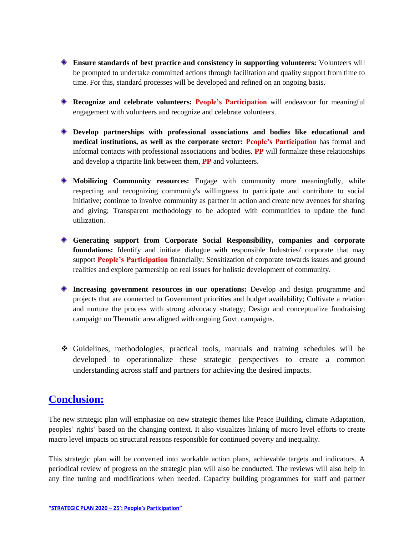- **Ensure standards of best practice and consistency in supporting volunteers:** Volunteers will be prompted to undertake committed actions through facilitation and quality support from time to time. For this, standard processes will be developed and refined on an ongoing basis.
- **Recognize and celebrate volunteers: People"s Participation** will endeavour for meaningful engagement with volunteers and recognize and celebrate volunteers.
- **Develop partnerships with professional associations and bodies like educational and medical institutions, as well as the corporate sector: People"s Participation** has formal and informal contacts with professional associations and bodies. **PP** will formalize these relationships and develop a tripartite link between them, **PP** and volunteers.
- **Mobilizing Community resources:** Engage with community more meaningfully, while respecting and recognizing community's willingness to participate and contribute to social initiative; continue to involve community as partner in action and create new avenues for sharing and giving; Transparent methodology to be adopted with communities to update the fund utilization.
- **Generating support from Corporate Social Responsibility, companies and corporate foundations:** Identify and initiate dialogue with responsible Industries/ corporate that may support **People"s Participation** financially; Sensitization of corporate towards issues and ground realities and explore partnership on real issues for holistic development of community.
- **Increasing government resources in our operations:** Develop and design programme and projects that are connected to Government priorities and budget availability; Cultivate a relation and nurture the process with strong advocacy strategy; Design and conceptualize fundraising campaign on Thematic area aligned with ongoing Govt. campaigns.
- Guidelines, methodologies, practical tools, manuals and training schedules will be developed to operationalize these strategic perspectives to create a common understanding across staff and partners for achieving the desired impacts.

## **Conclusion:**

The new strategic plan will emphasize on new strategic themes like Peace Building, climate Adaptation, peoples' rights' based on the changing context. It also visualizes linking of micro level efforts to create macro level impacts on structural reasons responsible for continued poverty and inequality.

This strategic plan will be converted into workable action plans, achievable targets and indicators. A periodical review of progress on the strategic plan will also be conducted. The reviews will also help in any fine tuning and modifications when needed. Capacity building programmes for staff and partner